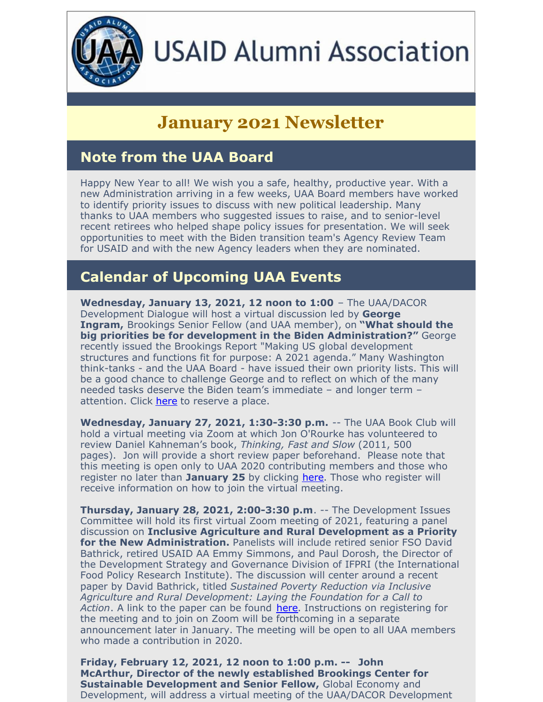

# **USAID Alumni Association**

# **January 2021 Newsletter**

#### **Note from the UAA Board**

Happy New Year to all! We wish you a safe, healthy, productive year. With a new Administration arriving in a few weeks, UAA Board members have worked to identify priority issues to discuss with new political leadership. Many thanks to UAA members who suggested issues to raise, and to senior-level recent retirees who helped shape policy issues for presentation. We will seek opportunities to meet with the Biden transition team's Agency Review Team for USAID and with the new Agency leaders when they are nominated.

#### **Calendar of Upcoming UAA Events**

**Wednesday, January 13, 2021, 12 noon to 1:00** – The UAA/DACOR Development Dialogue will host a virtual discussion led by **George Ingram,** Brookings Senior Fellow (and UAA member), on **"What should the big priorities be for development in the Biden Administration?"** George recently issued the Brookings Report "Making US global development structures and functions fit for purpose: A 2021 agenda." Many Washington think-tanks - and the UAA Board - have issued their own priority lists. This will be a good chance to challenge George and to reflect on which of the many needed tasks deserve the Biden team's immediate – and longer term – attention. Click [here](https://mms.dacorbacon.org/Calendar/moreinfo.php?eventid=29205) to reserve a place.

**Wednesday, January 27, 2021, 1:30-3:30 p.m.** -- The UAA Book Club will hold a virtual meeting via Zoom at which Jon O'Rourke has volunteered to review Daniel Kahneman's book, *Thinking, Fast and Slow* (2011, 500 pages). Jon will provide a short review paper beforehand. Please note that this meeting is open only to UAA 2020 contributing members and those who register no later than **January 25** by clicking [here](https://conta.cc/3b4EuGs). Those who register will receive information on how to join the virtual meeting.

**Thursday, January 28, 2021, 2:00-3:30 p.m**. -- The Development Issues Committee will hold its first virtual Zoom meeting of 2021, featuring a panel discussion on **Inclusive Agriculture and Rural Development as a Priority for the New Administration.** Panelists will include retired senior FSO David Bathrick, retired USAID AA Emmy Simmons, and Paul Dorosh, the Director of the Development Strategy and Governance Division of IFPRI (the International Food Policy Research Institute). The discussion will center around a recent paper by David Bathrick, titled *Sustained Poverty Reduction via Inclusive Agriculture and Rural Development: Laying the Foundation for a Call to Action*. A link to the paper can be found [here](https://www.usaidalumni.org/wp-content/uploads/2021/01/Sector-Reform-Package-SRSG-Inputs-7.pdf). Instructions on registering for the meeting and to join on Zoom will be forthcoming in a separate announcement later in January. The meeting will be open to all UAA members who made a contribution in 2020.

**Friday, February 12, 2021, 12 noon to 1:00 p.m. -- John McArthur, Director of the newly established Brookings Center for Sustainable Development and Senior Fellow,** Global Economy and Development, will address a virtual meeting of the UAA/DACOR Development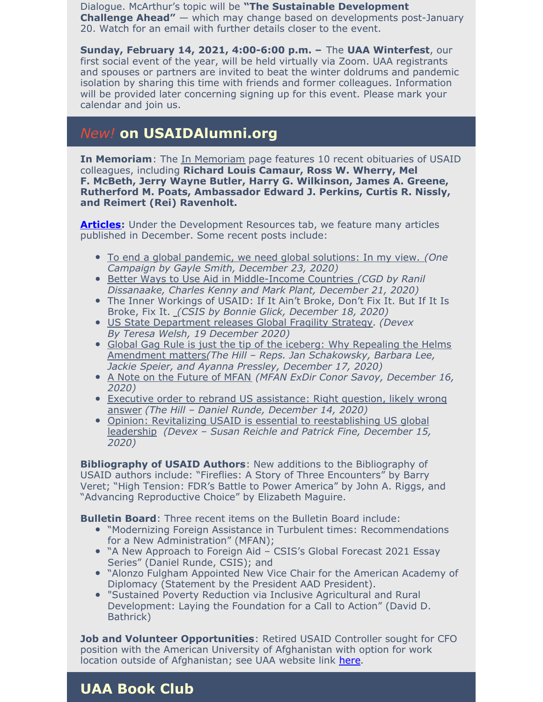Dialogue. McArthur's topic will be **"The Sustainable Development Challenge Ahead"** — which may change based on developments post-January 20. Watch for an email with further details closer to the event.

**Sunday, February 14, 2021, 4:00-6:00 p.m. –** The **UAA Winterfest**, our first social event of the year, will be held virtually via Zoom. UAA registrants and spouses or partners are invited to beat the winter doldrums and pandemic isolation by sharing this time with friends and former colleagues. Information will be provided later concerning signing up for this event. Please mark your calendar and join us.

#### *New!* **on USAIDAlumni.org**

**In [Memoriam](https://www.usaidalumni.org/tribute/)**: The *In Memoriam* page features 10 recent obituaries of USAID colleagues, including **Richard Louis Camaur, Ross W. Wherry, Mel F. McBeth, Jerry Wayne Butler, Harry G. Wilkinson, James A. Greene, Rutherford M. Poats, Ambassador Edward J. Perkins, Curtis R. Nissly, and Reimert (Rei) Ravenholt.**

**[Articles](https://www.usaidalumni.org/development-issues/articles/):** Under the Development Resources tab, we feature many articles published in December. Some recent posts include:

- To end a global [pandemic,](https://oecd-development-matters.org/2020/12/23/to-end-a-global-pandemic-we-need-global-solutions-in-my-view/) we need global solutions: In my view. *(One Campaign by Gayle Smith, December 23, 2020)*
- Better Ways to Use Aid in [Middle-Income](https://www.cgdev.org/blog/better-ways-use-aid-middle-income-countries) Countries *(CGD by Ranil Dissanaake, Charles Kenny and Mark Plant, December 21, 2020)*
- The Inner Wo[rk](https://www.csis.org/analysis/inner-workings-usaid-if-it-aint-broke-dont-fix-it-if-it-broke-fix-it?amp)ings of USAID: If It Ain't Broke, Don't Fix It. But If It Is Broke, Fix It. *(CSIS by Bonnie Glick, [December](https://www.csis.org/analysis/inner-workings-usaid-if-it-aint-broke-dont-fix-it-if-it-broke-fix-it?amp) 18, 2020)*
- US State [Department](https://www.devex.com/news/us-state-department-releases-global-fragility-strategy-98823) releases Global Fragility Strategy. *(Devex By Teresa Welsh, 19 December 2020)*
- Global Gag Rule is just the tip of the iceberg: Why Repealing the Helms Amendment matters*(The Hill – Reps. Jan [Schakowsky,](https://thehill.com/blogs/congress-blog/foreign-policy/530718-global-gag-rule-is-just-the-tip-of-the-iceberg-why) Barbara Lee, Jackie Speier, and Ayanna Pressley, December 17, 2020)*
- A Note on the [Future](https://mailchi.mp/modernizeaid/a-note-on-reform-leadership-4915398?e=c4642cddff) of MFAN *(MFAN ExDir Conor Savoy, December 16, 2020)*
- Executive order to rebrand US [assistance:](https://thehill.com/opinion/international/530087-executive-order-to-rebrand-us-assistance-right-question-likely-wrong) Right question, likely wrong answer *(The Hill – Daniel Runde, December 14, 2020)*
- Opinion: Revitalizing USAID is essential to [reestablishing](https://www.devex.com/news/opinion-revitalizing-usaid-is-essential-to-reestablishing-us-global-leadership-98766) US global leadership *(Devex – Susan Reichle and Patrick Fine, December 15, 2020)*

**Bibliography of USAID Authors**: New additions to the Bibliography of USAID authors include: "Fireflies: A Story of Three Encounters" by Barry Veret; "High Tension: FDR's Battle to Power America" by John A. Riggs, and "Advancing Reproductive Choice" by Elizabeth Maguire.

**Bulletin Board**: Three recent items on the Bulletin Board include:

- "Modernizing Foreign Assistance in Turbulent times: Recommendations for a New Administration" (MFAN);
- "A New Approach to Foreign Aid CSIS's Global Forecast 2021 Essay Series" (Daniel Runde, CSIS); and
- "Alonzo Fulgham Appointed New Vice Chair for the American Academy of Diplomacy (Statement by the President AAD President).
- "Sustained Poverty Reduction via Inclusive Agricultural and Rural Development: Laying the Foundation for a Call to Action" (David D. Bathrick)

**Job and Volunteer Opportunities**: Retired USAID Controller sought for CFO position with the American University of Afghanistan with option for work location outside of Afghanistan; see UAA website link [here](https://www.usaidalumni.org/get-involved/job-volunteer-opportunities/).

### **UAA Book Club**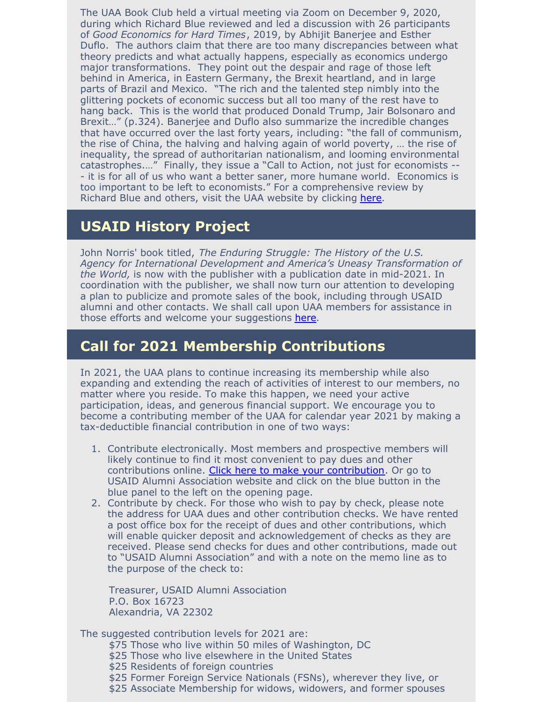The UAA Book Club held a virtual meeting via Zoom on December 9, 2020, during which Richard Blue reviewed and led a discussion with 26 participants of *Good Economics for Hard Times*, 2019, by Abhijit Banerjee and Esther Duflo. The authors claim that there are too many discrepancies between what theory predicts and what actually happens, especially as economics undergo major transformations. They point out the despair and rage of those left behind in America, in Eastern Germany, the Brexit heartland, and in large parts of Brazil and Mexico. "The rich and the talented step nimbly into the glittering pockets of economic success but all too many of the rest have to hang back. This is the world that produced Donald Trump, Jair Bolsonaro and Brexit…" (p.324). Banerjee and Duflo also summarize the incredible changes that have occurred over the last forty years, including: "the fall of communism, the rise of China, the halving and halving again of world poverty, … the rise of inequality, the spread of authoritarian nationalism, and looming environmental catastrophes.…" Finally, they issue a "Call to Action, not just for economists -- - it is for all of us who want a better saner, more humane world. Economics is too important to be left to economists." For a comprehensive review by Richard Blue and others, visit the UAA website by clicking [here](https://www.usaidalumni.org/uaa-book-club-reviews/#Good_Economics_for_Hard_Times_2019).

#### **USAID History Project**

John Norris' book titled, *The Enduring Struggle: The History of the U.S. Agency for International Development and America's Uneasy Transformation of the World,* is now with the publisher with a publication date in mid-2021. In coordination with the publisher, we shall now turn our attention to developing a plan to publicize and promote sales of the book, including through USAID alumni and other contacts. We shall call upon UAA members for assistance in those efforts and welcome your suggestions [here](https://conta.cc/3b389zP).

#### **Call for 2021 Membership Contributions**

In 2021, the UAA plans to continue increasing its membership while also expanding and extending the reach of activities of interest to our members, no matter where you reside. To make this happen, we need your active participation, ideas, and generous financial support. We encourage you to become a contributing member of the UAA for calendar year 2021 by making a tax-deductible financial contribution in one of two ways:

- 1. Contribute electronically. Most members and prospective members will likely continue to find it most convenient to pay dues and other contributions online. Click here to make your [contribution](https://connect.clickandpledge.com/w/Form/ea832b5e-4175-41e4-adc0-f76ac7b7a7d1). Or go to USAID Alumni Association website and click on the blue button in the blue panel to the left on the opening page.
- 2. Contribute by check. For those who wish to pay by check, please note the address for UAA dues and other contribution checks. We have rented a post office box for the receipt of dues and other contributions, which will enable quicker deposit and acknowledgement of checks as they are received. Please send checks for dues and other contributions, made out to "USAID Alumni Association" and with a note on the memo line as to the purpose of the check to:

Treasurer, USAID Alumni Association P.O. Box 16723 Alexandria, VA 22302

The suggested contribution levels for 2021 are:

- \$75 Those who live within 50 miles of Washington, DC
- \$25 Those who live elsewhere in the United States
- \$25 Residents of foreign countries
- \$25 Former Foreign Service Nationals (FSNs), wherever they live, or
- \$25 Associate Membership for widows, widowers, and former spouses